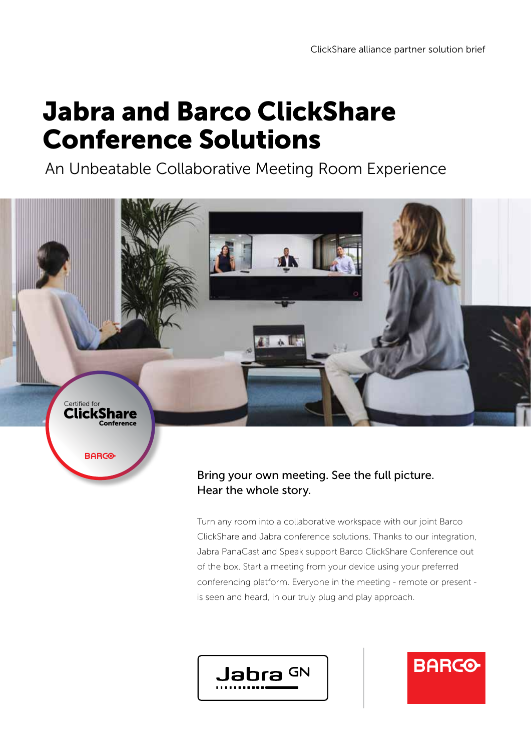## Jabra and Barco ClickShare Conference Solutions

An Unbeatable Collaborative Meeting Room Experience



### Bring your own meeting. See the full picture. Hear the whole story.

Turn any room into a collaborative workspace with our joint Barco ClickShare and Jabra conference solutions. Thanks to our integration, Jabra PanaCast and Speak support Barco ClickShare Conference out of the box. Start a meeting from your device using your preferred conferencing platform. Everyone in the meeting - remote or present is seen and heard, in our truly plug and play approach.

**BARCO** 

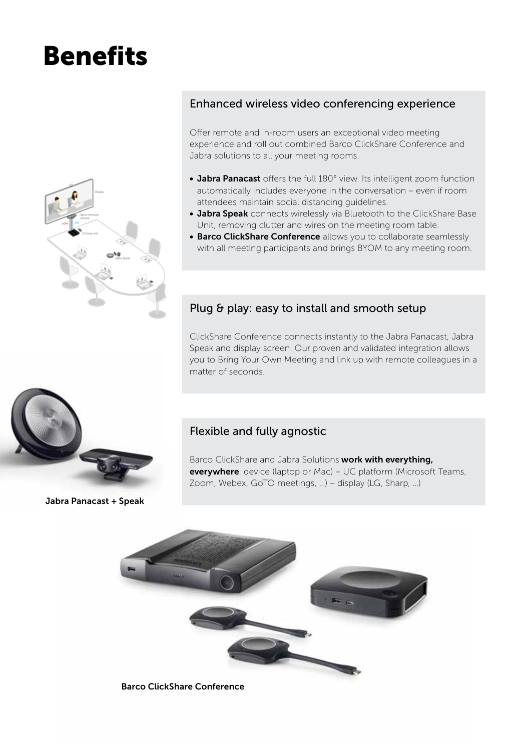# Benefits



#### Enhanced wireless video conferencing experience

Offer remote and in-room users an exceptional video meeting experience and roll out combined Barco ClickShare Conference and Jabra solutions to all your meeting rooms.

- Jabra Panacast offers the full 180° view. Its intelligent zoom function automatically includes everyone in the conversation – even if room attendees maintain social distancing guidelines.
- Jabra Speak connects wirelessly via Bluetooth to the ClickShare Base Unit, removing clutter and wires on the meeting room table.
- **Barco ClickShare Conference** allows you to collaborate seamlessly with all meeting participants and brings BYOM to any meeting room.

#### Plug & play: easy to install and smooth setup

ClickShare Conference connects instantly to the Jabra Panacast, Jabra Speak and display screen. Our proven and validated integration allows you to Bring Your Own Meeting and link up with remote colleagues in a matter of seconds.



Jabra Panacast + Speak

#### Flexible and fully agnostic

Barco ClickShare and Jabra Solutions work with everything, everywhere: device (laptop or Mac) – UC platform (Microsoft Teams, Zoom, Webex, GoTO meetings, …) – display (LG, Sharp, …)



Barco ClickShare Conference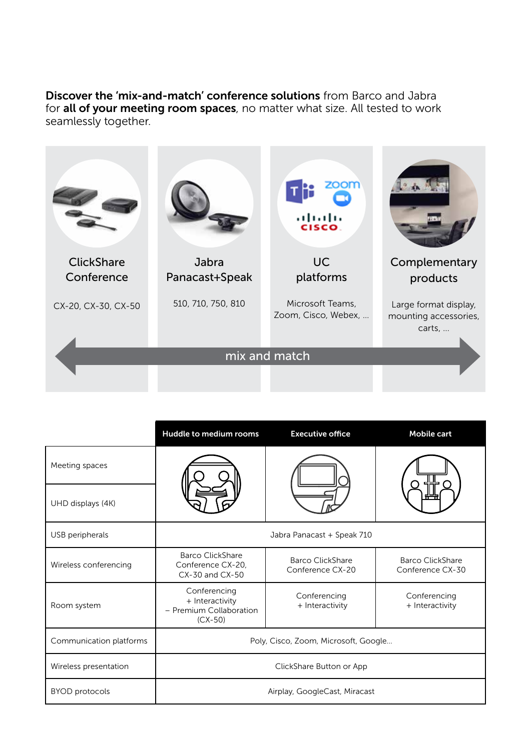Discover the 'mix-and-match' conference solutions from Barco and Jabra for all of your meeting room spaces, no matter what size. All tested to work seamlessly together.



|                         | Huddle to medium rooms                                                  | <b>Executive office</b>              | Mobile cart                                 |
|-------------------------|-------------------------------------------------------------------------|--------------------------------------|---------------------------------------------|
| Meeting spaces          |                                                                         |                                      |                                             |
| UHD displays (4K)       |                                                                         |                                      |                                             |
| USB peripherals         | Jabra Panacast + Speak 710                                              |                                      |                                             |
| Wireless conferencing   | Barco ClickShare<br>Conference CX-20,<br>CX-30 and CX-50                | Barco ClickShare<br>Conference CX-20 | <b>Barco ClickShare</b><br>Conference CX-30 |
| Room system             | Conferencing<br>+ Interactivity<br>- Premium Collaboration<br>$(CX-50)$ | Conferencing<br>+ Interactivity      | Conferencing<br>+ Interactivity             |
| Communication platforms | Poly, Cisco, Zoom, Microsoft, Google                                    |                                      |                                             |
| Wireless presentation   | ClickShare Button or App                                                |                                      |                                             |
| <b>BYOD</b> protocols   | Airplay, GoogleCast, Miracast                                           |                                      |                                             |